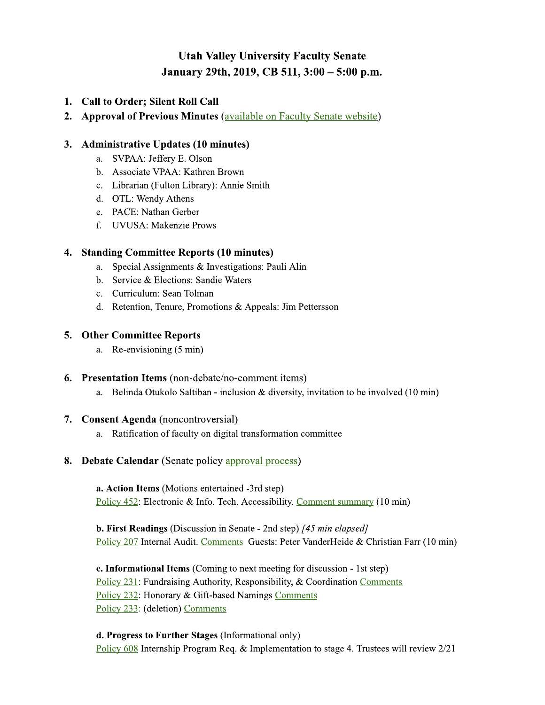# **Utah Valley University Faculty Senate** January 29th, 2019, CB 511, 3:00 - 5:00 p.m.

- 1. Call to Order; Silent Roll Call
- 2. Approval of Previous Minutes (available on Faculty Senate website)

# 3. Administrative Updates (10 minutes)

- a. SVPAA: Jefferv E. Olson
- b. Associate VPAA: Kathren Brown
- c. Librarian (Fulton Library): Annie Smith
- d. OTL: Wendy Athens
- e. PACE: Nathan Gerber
- f. UVUSA: Makenzie Prows

# 4. Standing Committee Reports (10 minutes)

- a. Special Assignments & Investigations: Pauli Alin
- b. Service & Elections: Sandie Waters
- c. Curriculum: Sean Tolman
- d. Retention, Tenure, Promotions & Appeals: Jim Pettersson

# 5. Other Committee Reports

- a. Re-envisioning (5 min)
- **6.** Presentation Items (non-debate/no-comment items)
	- a. Belinda Otukolo Saltiban inclusion  $\&$  diversity, invitation to be involved (10 min)

### 7. Consent Agenda (noncontroversial)

- a. Ratification of faculty on digital transformation committee
- **8. Debate Calendar** (Senate policy approval process)

a. Action Items (Motions entertained -3rd step) Policy 452: Electronic & Info. Tech. Accessibility. Comment summary (10 min)

**b. First Readings** (Discussion in Senate - 2nd step) [45 min elapsed] Policy 207 Internal Audit. Comments Guests: Peter VanderHeide & Christian Farr (10 min)

c. Informational Items (Coming to next meeting for discussion - 1st step) Policy 231: Fundraising Authority, Responsibility, & Coordination Comments Policy 232: Honorary & Gift-based Namings Comments Policy 233: (deletion) Comments

d. Progress to Further Stages (Informational only) Policy 608 Internship Program Req. & Implementation to stage 4. Trustees will review 2/21